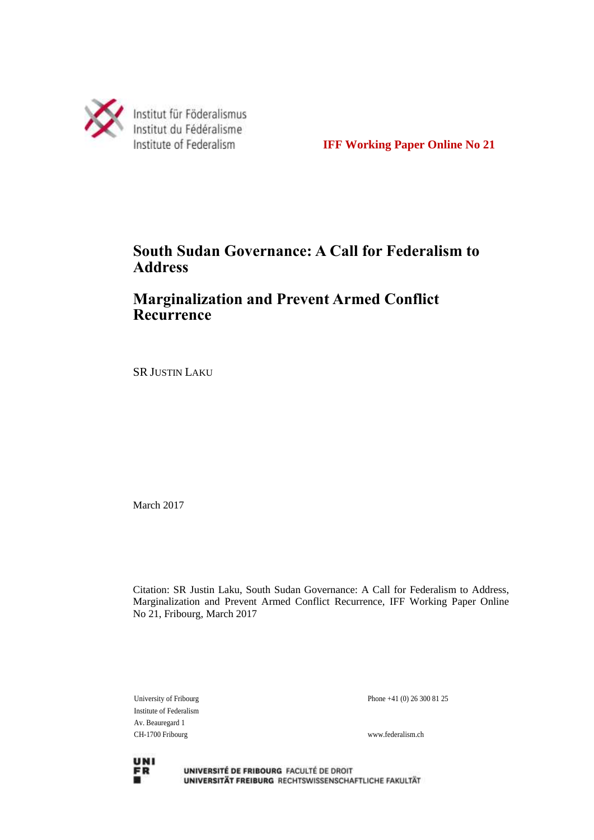

**IFF Working Paper Online No 21**

# **South Sudan Governance: A Call for Federalism to Address**

# **Marginalization and Prevent Armed Conflict Recurrence**

SR JUSTIN LAKU

March 2017

Citation: SR Justin Laku, South Sudan Governance: A Call for Federalism to Address, Marginalization and Prevent Armed Conflict Recurrence, IFF Working Paper Online No 21, Fribourg, March 2017

Institute of Federalism Av. Beauregard 1 CH-1700 Fribourg www.federalism.ch

University of Fribourg Phone +41 (0) 26 300 81 25



UNIVERSITÉ DE FRIBOURG FACULTÉ DE DROIT UNIVERSITÄT FREIBURG RECHTSWISSENSCHAFTLICHE FAKULTÄT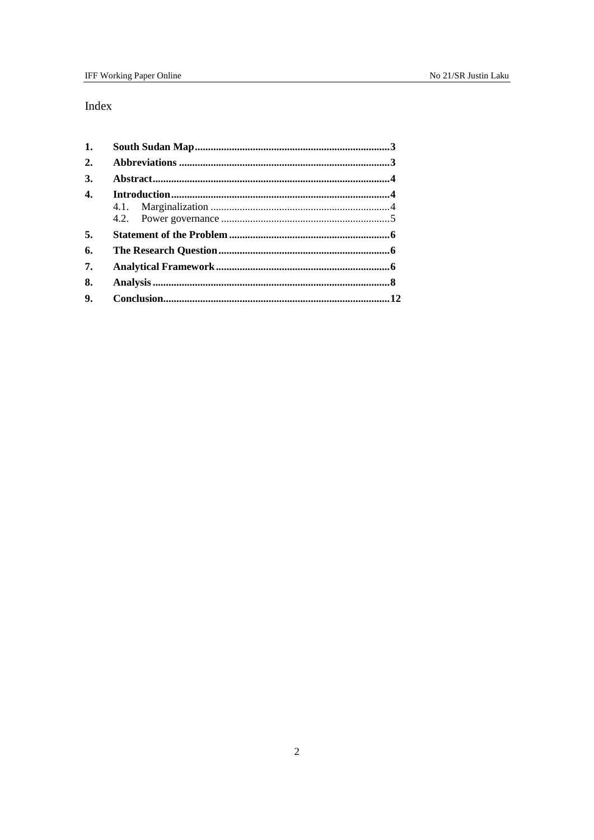## Index

| 1.               |  |  |
|------------------|--|--|
| 2.               |  |  |
| 3.               |  |  |
| $\overline{4}$ . |  |  |
|                  |  |  |
|                  |  |  |
| 5.               |  |  |
| 6.               |  |  |
| 7.               |  |  |
| 8.               |  |  |
|                  |  |  |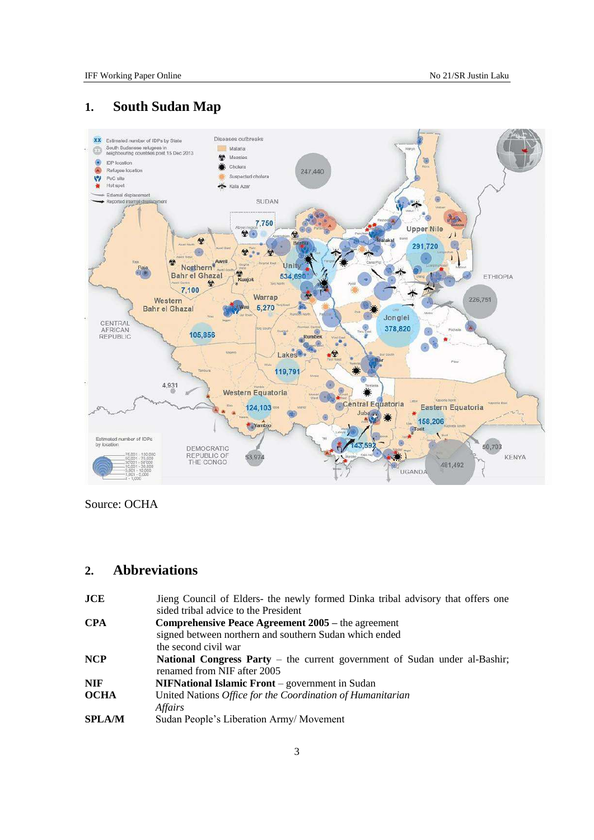# <span id="page-2-0"></span>**1. South Sudan Map**



Source: OCHA

## <span id="page-2-1"></span>**2. Abbreviations**

| <b>JCE</b>    | Jieng Council of Elders- the newly formed Dinka tribal advisory that offers one<br>sided tribal advice to the President |
|---------------|-------------------------------------------------------------------------------------------------------------------------|
| <b>CPA</b>    | Comprehensive Peace Agreement 2005 – the agreement                                                                      |
|               | signed between northern and southern Sudan which ended                                                                  |
|               | the second civil war                                                                                                    |
| <b>NCP</b>    | <b>National Congress Party</b> – the current government of Sudan under al-Bashir;<br>renamed from NIF after 2005        |
| <b>NIF</b>    | <b>NIFNational Islamic Front</b> – government in Sudan                                                                  |
| <b>OCHA</b>   | United Nations Office for the Coordination of Humanitarian<br>Affairs                                                   |
| <b>SPLA/M</b> | Sudan People's Liberation Army/Movement                                                                                 |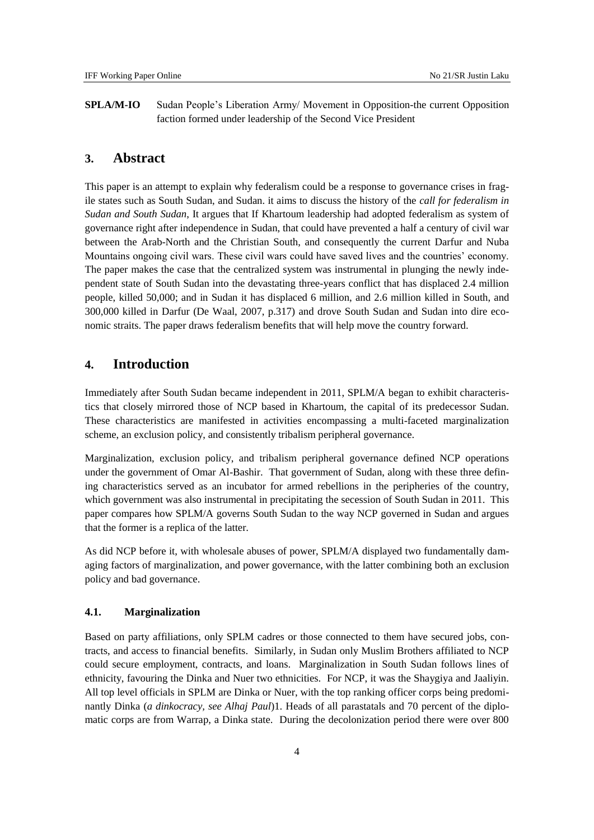**SPLA/M-IO** Sudan People's Liberation Army/ Movement in Opposition-the current Opposition faction formed under leadership of the Second Vice President

### <span id="page-3-0"></span>**3. Abstract**

This paper is an attempt to explain why federalism could be a response to governance crises in fragile states such as South Sudan, and Sudan. it aims to discuss the history of the *call for federalism in Sudan and South Sudan*, It argues that If Khartoum leadership had adopted federalism as system of governance right after independence in Sudan, that could have prevented a half a century of civil war between the Arab-North and the Christian South, and consequently the current Darfur and Nuba Mountains ongoing civil wars. These civil wars could have saved lives and the countries' economy. The paper makes the case that the centralized system was instrumental in plunging the newly independent state of South Sudan into the devastating three-years conflict that has displaced 2.4 million people, killed 50,000; and in Sudan it has displaced 6 million, and 2.6 million killed in South, and 300,000 killed in Darfur (De Waal, 2007, p.317) and drove South Sudan and Sudan into dire economic straits. The paper draws federalism benefits that will help move the country forward.

### <span id="page-3-1"></span>**4. Introduction**

Immediately after South Sudan became independent in 2011, SPLM/A began to exhibit characteristics that closely mirrored those of NCP based in Khartoum, the capital of its predecessor Sudan. These characteristics are manifested in activities encompassing a multi-faceted marginalization scheme, an exclusion policy, and consistently tribalism peripheral governance.

Marginalization, exclusion policy, and tribalism peripheral governance defined NCP operations under the government of Omar Al-Bashir. That government of Sudan, along with these three defining characteristics served as an incubator for armed rebellions in the peripheries of the country, which government was also instrumental in precipitating the secession of South Sudan in 2011. This paper compares how SPLM/A governs South Sudan to the way NCP governed in Sudan and argues that the former is a replica of the latter.

As did NCP before it, with wholesale abuses of power, SPLM/A displayed two fundamentally damaging factors of marginalization, and power governance, with the latter combining both an exclusion policy and bad governance.

### <span id="page-3-2"></span>**4.1. Marginalization**

Based on party affiliations, only SPLM cadres or those connected to them have secured jobs, contracts, and access to financial benefits. Similarly, in Sudan only Muslim Brothers affiliated to NCP could secure employment, contracts, and loans. Marginalization in South Sudan follows lines of ethnicity, favouring the Dinka and Nuer two ethnicities. For NCP, it was the Shaygiya and Jaaliyin. All top level officials in SPLM are Dinka or Nuer, with the top ranking officer corps being predominantly Dinka (*a dinkocracy, see Alhaj Paul*)1. Heads of all parastatals and 70 percent of the diplomatic corps are from Warrap, a Dinka state. During the decolonization period there were over 800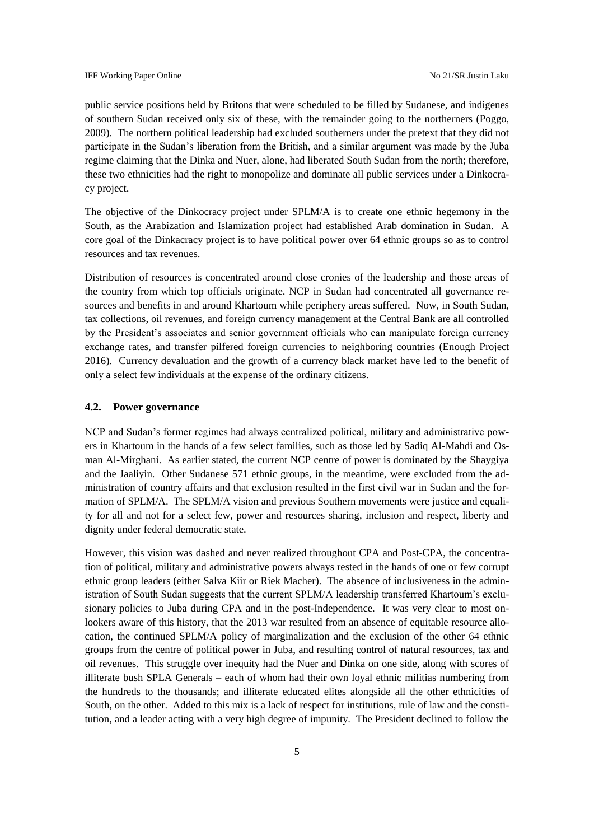public service positions held by Britons that were scheduled to be filled by Sudanese, and indigenes of southern Sudan received only six of these, with the remainder going to the northerners (Poggo, 2009). The northern political leadership had excluded southerners under the pretext that they did not participate in the Sudan's liberation from the British, and a similar argument was made by the Juba regime claiming that the Dinka and Nuer, alone, had liberated South Sudan from the north; therefore, these two ethnicities had the right to monopolize and dominate all public services under a Dinkocracy project.

The objective of the Dinkocracy project under SPLM/A is to create one ethnic hegemony in the South, as the Arabization and Islamization project had established Arab domination in Sudan. A core goal of the Dinkacracy project is to have political power over 64 ethnic groups so as to control resources and tax revenues.

Distribution of resources is concentrated around close cronies of the leadership and those areas of the country from which top officials originate. NCP in Sudan had concentrated all governance resources and benefits in and around Khartoum while periphery areas suffered. Now, in South Sudan, tax collections, oil revenues, and foreign currency management at the Central Bank are all controlled by the President's associates and senior government officials who can manipulate foreign currency exchange rates, and transfer pilfered foreign currencies to neighboring countries (Enough Project 2016). Currency devaluation and the growth of a currency black market have led to the benefit of only a select few individuals at the expense of the ordinary citizens.

#### <span id="page-4-0"></span>**4.2. Power governance**

NCP and Sudan's former regimes had always centralized political, military and administrative powers in Khartoum in the hands of a few select families, such as those led by Sadiq Al-Mahdi and Osman Al-Mirghani. As earlier stated, the current NCP centre of power is dominated by the Shaygiya and the Jaaliyin. Other Sudanese 571 ethnic groups, in the meantime, were excluded from the administration of country affairs and that exclusion resulted in the first civil war in Sudan and the formation of SPLM/A. The SPLM/A vision and previous Southern movements were justice and equality for all and not for a select few, power and resources sharing, inclusion and respect, liberty and dignity under federal democratic state.

However, this vision was dashed and never realized throughout CPA and Post-CPA, the concentration of political, military and administrative powers always rested in the hands of one or few corrupt ethnic group leaders (either Salva Kiir or Riek Macher). The absence of inclusiveness in the administration of South Sudan suggests that the current SPLM/A leadership transferred Khartoum's exclusionary policies to Juba during CPA and in the post-Independence. It was very clear to most onlookers aware of this history, that the 2013 war resulted from an absence of equitable resource allocation, the continued SPLM/A policy of marginalization and the exclusion of the other 64 ethnic groups from the centre of political power in Juba, and resulting control of natural resources, tax and oil revenues. This struggle over inequity had the Nuer and Dinka on one side, along with scores of illiterate bush SPLA Generals – each of whom had their own loyal ethnic militias numbering from the hundreds to the thousands; and illiterate educated elites alongside all the other ethnicities of South, on the other. Added to this mix is a lack of respect for institutions, rule of law and the constitution, and a leader acting with a very high degree of impunity. The President declined to follow the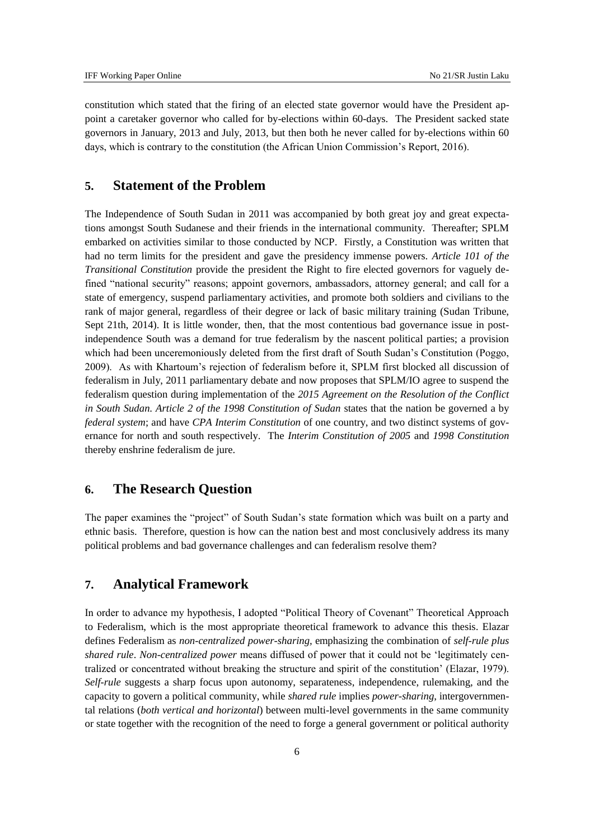constitution which stated that the firing of an elected state governor would have the President appoint a caretaker governor who called for by-elections within 60-days. The President sacked state governors in January, 2013 and July, 2013, but then both he never called for by-elections within 60 days, which is contrary to the constitution (the African Union Commission's Report, 2016).

### <span id="page-5-0"></span>**5. Statement of the Problem**

The Independence of South Sudan in 2011 was accompanied by both great joy and great expectations amongst South Sudanese and their friends in the international community. Thereafter; SPLM embarked on activities similar to those conducted by NCP. Firstly, a Constitution was written that had no term limits for the president and gave the presidency immense powers. *Article 101 of the Transitional Constitution* provide the president the Right to fire elected governors for vaguely defined "national security" reasons; appoint governors, ambassadors, attorney general; and call for a state of emergency, suspend parliamentary activities, and promote both soldiers and civilians to the rank of major general, regardless of their degree or lack of basic military training (Sudan Tribune, Sept 21th, 2014). It is little wonder, then, that the most contentious bad governance issue in postindependence South was a demand for true federalism by the nascent political parties; a provision which had been unceremoniously deleted from the first draft of South Sudan's Constitution (Poggo, 2009). As with Khartoum's rejection of federalism before it, SPLM first blocked all discussion of federalism in July, 2011 parliamentary debate and now proposes that SPLM/IO agree to suspend the federalism question during implementation of the *2015 Agreement on the Resolution of the Conflict in South Sudan. Article 2 of the 1998 Constitution of Sudan states that the nation be governed a by federal system*; and have *CPA Interim Constitution* of one country, and two distinct systems of governance for north and south respectively. The *Interim Constitution of 2005* and *1998 Constitution*  thereby enshrine federalism de jure.

### <span id="page-5-1"></span>**6. The Research Question**

The paper examines the "project" of South Sudan's state formation which was built on a party and ethnic basis. Therefore, question is how can the nation best and most conclusively address its many political problems and bad governance challenges and can federalism resolve them?

### <span id="page-5-2"></span>**7. Analytical Framework**

In order to advance my hypothesis, I adopted "Political Theory of Covenant" Theoretical Approach to Federalism, which is the most appropriate theoretical framework to advance this thesis. Elazar defines Federalism as *non-centralized power-sharing,* emphasizing the combination of *self-rule plus shared rule*. *Non-centralized power* means diffused of power that it could not be 'legitimately centralized or concentrated without breaking the structure and spirit of the constitution' (Elazar, 1979). *Self-rule* suggests a sharp focus upon autonomy, separateness, independence, rulemaking, and the capacity to govern a political community, while *shared rule* implies *power-sharing*, intergovernmental relations (*both vertical and horizontal*) between multi-level governments in the same community or state together with the recognition of the need to forge a general government or political authority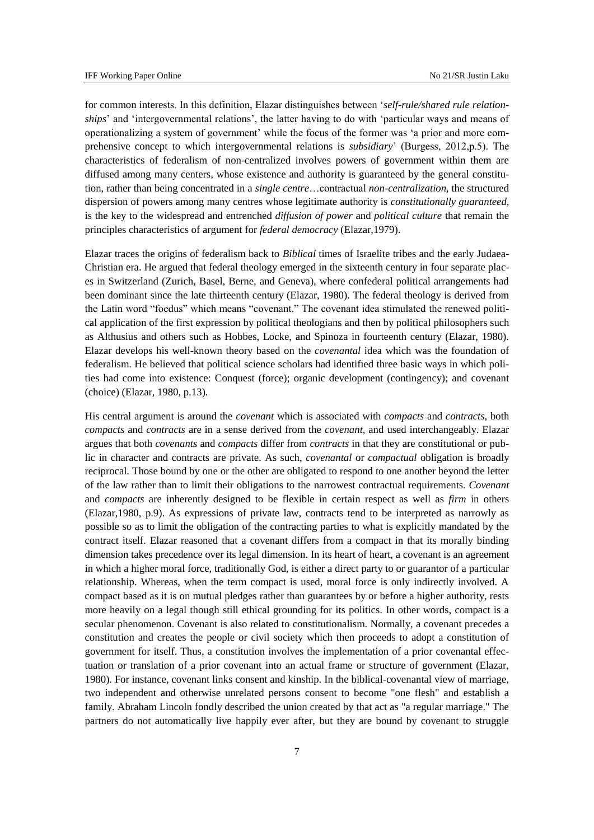for common interests. In this definition, Elazar distinguishes between '*self-rule/shared rule relationships*' and 'intergovernmental relations', the latter having to do with 'particular ways and means of operationalizing a system of government' while the focus of the former was 'a prior and more comprehensive concept to which intergovernmental relations is *subsidiary*' (Burgess, 2012,p.5). The characteristics of federalism of non-centralized involves powers of government within them are diffused among many centers, whose existence and authority is guaranteed by the general constitution, rather than being concentrated in a *single centre*…contractual *non-centralization*, the structured dispersion of powers among many centres whose legitimate authority is *constitutionally guaranteed*, is the key to the widespread and entrenched *diffusion of power* and *political culture* that remain the principles characteristics of argument for *federal democracy* (Elazar,1979).

Elazar traces the origins of federalism back to *Biblical* times of Israelite tribes and the early Judaea-Christian era. He argued that federal theology emerged in the sixteenth century in four separate places in Switzerland (Zurich, Basel, Berne, and Geneva), where confederal political arrangements had been dominant since the late thirteenth century (Elazar, 1980). The federal theology is derived from the Latin word "foedus" which means "covenant." The covenant idea stimulated the renewed political application of the first expression by political theologians and then by political philosophers such as Althusius and others such as Hobbes, Locke, and Spinoza in fourteenth century (Elazar, 1980). Elazar develops his well-known theory based on the *covenantal* idea which was the foundation of federalism. He believed that political science scholars had identified three basic ways in which polities had come into existence: Conquest (force); organic development (contingency); and covenant (choice) (Elazar, 1980, p.13).

His central argument is around the *covenant* which is associated with *compacts* and *contracts*, both *compacts* and *contracts* are in a sense derived from the *covenant*, and used interchangeably. Elazar argues that both *covenants* and *compacts* differ from *contracts* in that they are constitutional or public in character and contracts are private. As such, *covenantal* or *compactual* obligation is broadly reciprocal. Those bound by one or the other are obligated to respond to one another beyond the letter of the law rather than to limit their obligations to the narrowest contractual requirements. *Covenant* and *compacts* are inherently designed to be flexible in certain respect as well as *firm* in others (Elazar,1980, p.9). As expressions of private law, contracts tend to be interpreted as narrowly as possible so as to limit the obligation of the contracting parties to what is explicitly mandated by the contract itself. Elazar reasoned that a covenant differs from a compact in that its morally binding dimension takes precedence over its legal dimension. In its heart of heart, a covenant is an agreement in which a higher moral force, traditionally God, is either a direct party to or guarantor of a particular relationship. Whereas, when the term compact is used, moral force is only indirectly involved. A compact based as it is on mutual pledges rather than guarantees by or before a higher authority, rests more heavily on a legal though still ethical grounding for its politics. In other words, compact is a secular phenomenon. Covenant is also related to constitutionalism. Normally, a covenant precedes a constitution and creates the people or civil society which then proceeds to adopt a constitution of government for itself. Thus, a constitution involves the implementation of a prior covenantal effectuation or translation of a prior covenant into an actual frame or structure of government (Elazar, 1980). For instance, covenant links consent and kinship. In the biblical-covenantal view of marriage, two independent and otherwise unrelated persons consent to become "one flesh" and establish a family. Abraham Lincoln fondly described the union created by that act as "a regular marriage." The partners do not automatically live happily ever after, but they are bound by covenant to struggle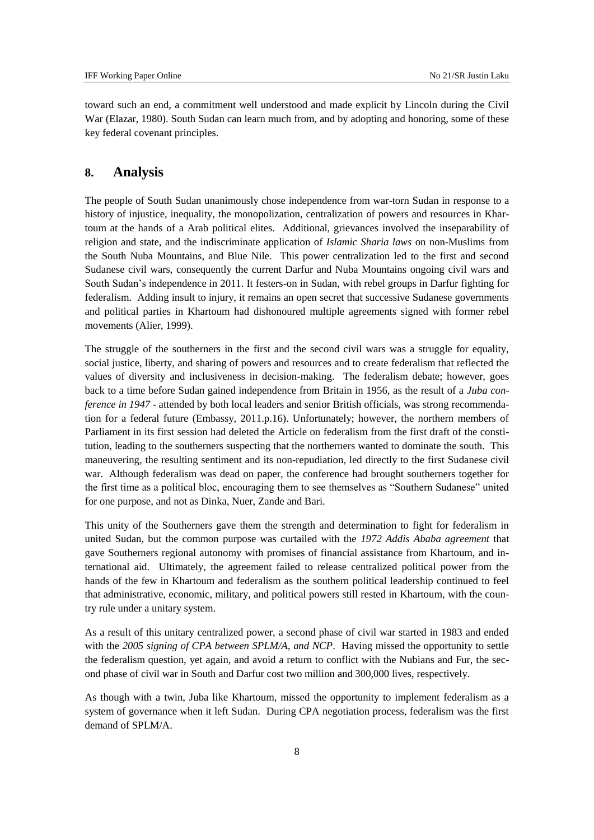toward such an end, a commitment well understood and made explicit by Lincoln during the Civil War (Elazar, 1980). South Sudan can learn much from, and by adopting and honoring, some of these key federal covenant principles.

### <span id="page-7-0"></span>**8. Analysis**

The people of South Sudan unanimously chose independence from war-torn Sudan in response to a history of injustice, inequality, the monopolization, centralization of powers and resources in Khartoum at the hands of a Arab political elites. Additional, grievances involved the inseparability of religion and state, and the indiscriminate application of *Islamic Sharia laws* on non-Muslims from the South Nuba Mountains, and Blue Nile. This power centralization led to the first and second Sudanese civil wars, consequently the current Darfur and Nuba Mountains ongoing civil wars and South Sudan's independence in 2011. It festers-on in Sudan, with rebel groups in Darfur fighting for federalism. Adding insult to injury, it remains an open secret that successive Sudanese governments and political parties in Khartoum had dishonoured multiple agreements signed with former rebel movements (Alier, 1999).

The struggle of the southerners in the first and the second civil wars was a struggle for equality, social justice, liberty, and sharing of powers and resources and to create federalism that reflected the values of diversity and inclusiveness in decision-making. The federalism debate; however, goes back to a time before Sudan gained independence from Britain in 1956, as the result of a *Juba conference in 1947* - attended by both local leaders and senior British officials, was strong recommendation for a federal future (Embassy, 2011.p.16). Unfortunately; however, the northern members of Parliament in its first session had deleted the Article on federalism from the first draft of the constitution, leading to the southerners suspecting that the northerners wanted to dominate the south. This maneuvering, the resulting sentiment and its non-repudiation, led directly to the first Sudanese civil war. Although federalism was dead on paper, the conference had brought southerners together for the first time as a political bloc, encouraging them to see themselves as "Southern Sudanese" united for one purpose, and not as Dinka, Nuer, Zande and Bari.

This unity of the Southerners gave them the strength and determination to fight for federalism in united Sudan, but the common purpose was curtailed with the *1972 Addis Ababa agreement* that gave Southerners regional autonomy with promises of financial assistance from Khartoum, and international aid. Ultimately, the agreement failed to release centralized political power from the hands of the few in Khartoum and federalism as the southern political leadership continued to feel that administrative, economic, military, and political powers still rested in Khartoum, with the country rule under a unitary system.

As a result of this unitary centralized power, a second phase of civil war started in 1983 and ended with the *2005 signing of CPA between SPLM/A, and NCP*. Having missed the opportunity to settle the federalism question, yet again, and avoid a return to conflict with the Nubians and Fur, the second phase of civil war in South and Darfur cost two million and 300,000 lives, respectively.

As though with a twin, Juba like Khartoum, missed the opportunity to implement federalism as a system of governance when it left Sudan. During CPA negotiation process, federalism was the first demand of SPLM/A.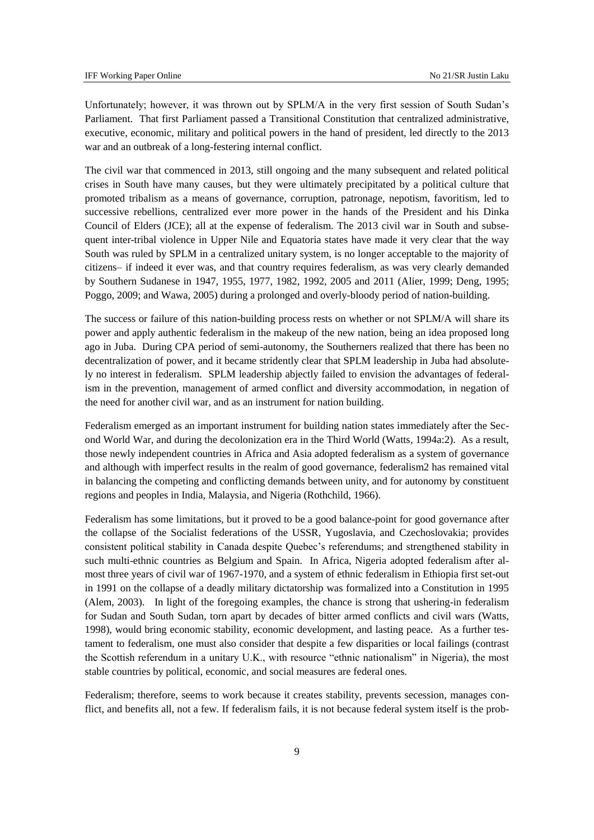Unfortunately; however, it was thrown out by SPLM/A in the very first session of South Sudan's Parliament. That first Parliament passed a Transitional Constitution that centralized administrative, executive, economic, military and political powers in the hand of president, led directly to the 2013 war and an outbreak of a long-festering internal conflict.

The civil war that commenced in 2013, still ongoing and the many subsequent and related political crises in South have many causes, but they were ultimately precipitated by a political culture that promoted tribalism as a means of governance, corruption, patronage, nepotism, favoritism, led to successive rebellions, centralized ever more power in the hands of the President and his Dinka Council of Elders (JCE); all at the expense of federalism. The 2013 civil war in South and subsequent inter-tribal violence in Upper Nile and Equatoria states have made it very clear that the way South was ruled by SPLM in a centralized unitary system, is no longer acceptable to the majority of citizens– if indeed it ever was, and that country requires federalism, as was very clearly demanded by Southern Sudanese in 1947, 1955, 1977, 1982, 1992, 2005 and 2011 (Alier, 1999; Deng, 1995; Poggo, 2009; and Wawa, 2005) during a prolonged and overly-bloody period of nation-building.

The success or failure of this nation-building process rests on whether or not SPLM/A will share its power and apply authentic federalism in the makeup of the new nation, being an idea proposed long ago in Juba. During CPA period of semi-autonomy, the Southerners realized that there has been no decentralization of power, and it became stridently clear that SPLM leadership in Juba had absolutely no interest in federalism. SPLM leadership abjectly failed to envision the advantages of federalism in the prevention, management of armed conflict and diversity accommodation, in negation of the need for another civil war, and as an instrument for nation building.

Federalism emerged as an important instrument for building nation states immediately after the Second World War, and during the decolonization era in the Third World (Watts, 1994a:2). As a result, those newly independent countries in Africa and Asia adopted federalism as a system of governance and although with imperfect results in the realm of good governance, federalism2 has remained vital in balancing the competing and conflicting demands between unity, and for autonomy by constituent regions and peoples in India, Malaysia, and Nigeria (Rothchild, 1966).

Federalism has some limitations, but it proved to be a good balance-point for good governance after the collapse of the Socialist federations of the USSR, Yugoslavia, and Czechoslovakia; provides consistent political stability in Canada despite Quebec's referendums; and strengthened stability in such multi-ethnic countries as Belgium and Spain. In Africa, Nigeria adopted federalism after almost three years of civil war of 1967-1970, and a system of ethnic federalism in Ethiopia first set-out in 1991 on the collapse of a deadly military dictatorship was formalized into a Constitution in 1995 (Alem, 2003). In light of the foregoing examples, the chance is strong that ushering-in federalism for Sudan and South Sudan, torn apart by decades of bitter armed conflicts and civil wars (Watts, 1998), would bring economic stability, economic development, and lasting peace. As a further testament to federalism, one must also consider that despite a few disparities or local failings (contrast the Scottish referendum in a unitary U.K., with resource "ethnic nationalism" in Nigeria), the most stable countries by political, economic, and social measures are federal ones.

Federalism; therefore, seems to work because it creates stability, prevents secession, manages conflict, and benefits all, not a few. If federalism fails, it is not because federal system itself is the prob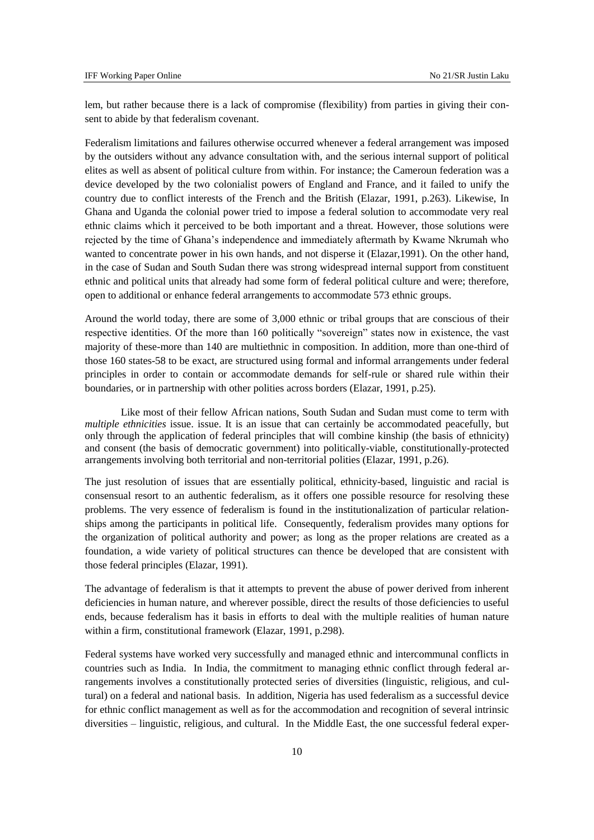lem, but rather because there is a lack of compromise (flexibility) from parties in giving their consent to abide by that federalism covenant.

Federalism limitations and failures otherwise occurred whenever a federal arrangement was imposed by the outsiders without any advance consultation with, and the serious internal support of political elites as well as absent of political culture from within. For instance; the Cameroun federation was a device developed by the two colonialist powers of England and France, and it failed to unify the country due to conflict interests of the French and the British (Elazar, 1991, p.263). Likewise, In Ghana and Uganda the colonial power tried to impose a federal solution to accommodate very real ethnic claims which it perceived to be both important and a threat. However, those solutions were rejected by the time of Ghana's independence and immediately aftermath by Kwame Nkrumah who wanted to concentrate power in his own hands, and not disperse it (Elazar,1991). On the other hand, in the case of Sudan and South Sudan there was strong widespread internal support from constituent ethnic and political units that already had some form of federal political culture and were; therefore, open to additional or enhance federal arrangements to accommodate 573 ethnic groups.

Around the world today, there are some of 3,000 ethnic or tribal groups that are conscious of their respective identities. Of the more than 160 politically "sovereign" states now in existence, the vast majority of these-more than 140 are multiethnic in composition. In addition, more than one-third of those 160 states-58 to be exact, are structured using formal and informal arrangements under federal principles in order to contain or accommodate demands for self-rule or shared rule within their boundaries, or in partnership with other polities across borders (Elazar, 1991, p.25).

Like most of their fellow African nations, South Sudan and Sudan must come to term with *multiple ethnicities* issue. issue. It is an issue that can certainly be accommodated peacefully, but only through the application of federal principles that will combine kinship (the basis of ethnicity) and consent (the basis of democratic government) into politically-viable, constitutionally-protected arrangements involving both territorial and non-territorial polities (Elazar, 1991, p.26).

The just resolution of issues that are essentially political, ethnicity-based, linguistic and racial is consensual resort to an authentic federalism, as it offers one possible resource for resolving these problems. The very essence of federalism is found in the institutionalization of particular relationships among the participants in political life. Consequently, federalism provides many options for the organization of political authority and power; as long as the proper relations are created as a foundation, a wide variety of political structures can thence be developed that are consistent with those federal principles (Elazar, 1991).

The advantage of federalism is that it attempts to prevent the abuse of power derived from inherent deficiencies in human nature, and wherever possible, direct the results of those deficiencies to useful ends, because federalism has it basis in efforts to deal with the multiple realities of human nature within a firm, constitutional framework (Elazar, 1991, p.298).

Federal systems have worked very successfully and managed ethnic and intercommunal conflicts in countries such as India. In India, the commitment to managing ethnic conflict through federal arrangements involves a constitutionally protected series of diversities (linguistic, religious, and cultural) on a federal and national basis. In addition, Nigeria has used federalism as a successful device for ethnic conflict management as well as for the accommodation and recognition of several intrinsic diversities – linguistic, religious, and cultural. In the Middle East, the one successful federal exper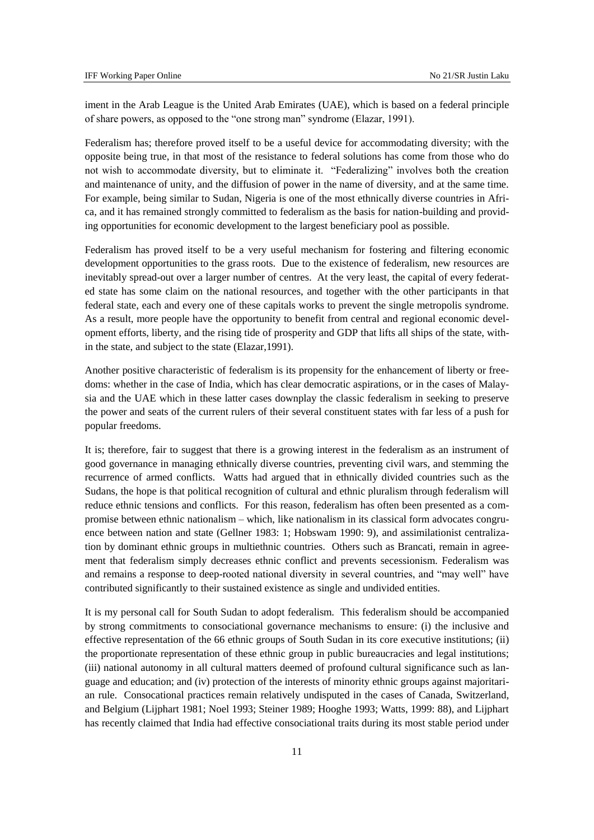iment in the Arab League is the United Arab Emirates (UAE), which is based on a federal principle of share powers, as opposed to the "one strong man" syndrome (Elazar, 1991).

Federalism has; therefore proved itself to be a useful device for accommodating diversity; with the opposite being true, in that most of the resistance to federal solutions has come from those who do not wish to accommodate diversity, but to eliminate it. "Federalizing" involves both the creation and maintenance of unity, and the diffusion of power in the name of diversity, and at the same time. For example, being similar to Sudan, Nigeria is one of the most ethnically diverse countries in Africa, and it has remained strongly committed to federalism as the basis for nation-building and providing opportunities for economic development to the largest beneficiary pool as possible.

Federalism has proved itself to be a very useful mechanism for fostering and filtering economic development opportunities to the grass roots. Due to the existence of federalism, new resources are inevitably spread-out over a larger number of centres. At the very least, the capital of every federated state has some claim on the national resources, and together with the other participants in that federal state, each and every one of these capitals works to prevent the single metropolis syndrome. As a result, more people have the opportunity to benefit from central and regional economic development efforts, liberty, and the rising tide of prosperity and GDP that lifts all ships of the state, within the state, and subject to the state (Elazar,1991).

Another positive characteristic of federalism is its propensity for the enhancement of liberty or freedoms: whether in the case of India, which has clear democratic aspirations, or in the cases of Malaysia and the UAE which in these latter cases downplay the classic federalism in seeking to preserve the power and seats of the current rulers of their several constituent states with far less of a push for popular freedoms.

It is; therefore, fair to suggest that there is a growing interest in the federalism as an instrument of good governance in managing ethnically diverse countries, preventing civil wars, and stemming the recurrence of armed conflicts. Watts had argued that in ethnically divided countries such as the Sudans, the hope is that political recognition of cultural and ethnic pluralism through federalism will reduce ethnic tensions and conflicts. For this reason, federalism has often been presented as a compromise between ethnic nationalism – which, like nationalism in its classical form advocates congruence between nation and state (Gellner 1983: 1; Hobswam 1990: 9), and assimilationist centralization by dominant ethnic groups in multiethnic countries. Others such as Brancati, remain in agreement that federalism simply decreases ethnic conflict and prevents secessionism. Federalism was and remains a response to deep-rooted national diversity in several countries, and "may well" have contributed significantly to their sustained existence as single and undivided entities.

It is my personal call for South Sudan to adopt federalism. This federalism should be accompanied by strong commitments to consociational governance mechanisms to ensure: (i) the inclusive and effective representation of the 66 ethnic groups of South Sudan in its core executive institutions; (ii) the proportionate representation of these ethnic group in public bureaucracies and legal institutions; (iii) national autonomy in all cultural matters deemed of profound cultural significance such as language and education; and (iv) protection of the interests of minority ethnic groups against majoritarian rule. Consocational practices remain relatively undisputed in the cases of Canada, Switzerland, and Belgium (Lijphart 1981; Noel 1993; Steiner 1989; Hooghe 1993; Watts, 1999: 88), and Lijphart has recently claimed that India had effective consociational traits during its most stable period under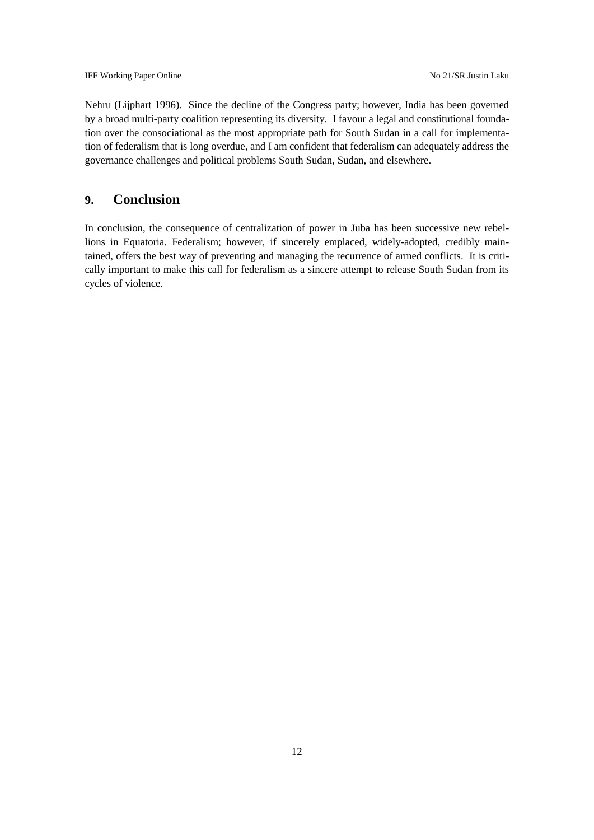Nehru (Lijphart 1996). Since the decline of the Congress party; however, India has been governed by a broad multi-party coalition representing its diversity. I favour a legal and constitutional foundation over the consociational as the most appropriate path for South Sudan in a call for implementation of federalism that is long overdue, and I am confident that federalism can adequately address the governance challenges and political problems South Sudan, Sudan, and elsewhere.

## <span id="page-11-0"></span>**9. Conclusion**

In conclusion, the consequence of centralization of power in Juba has been successive new rebellions in Equatoria. Federalism; however, if sincerely emplaced, widely-adopted, credibly maintained, offers the best way of preventing and managing the recurrence of armed conflicts. It is critically important to make this call for federalism as a sincere attempt to release South Sudan from its cycles of violence.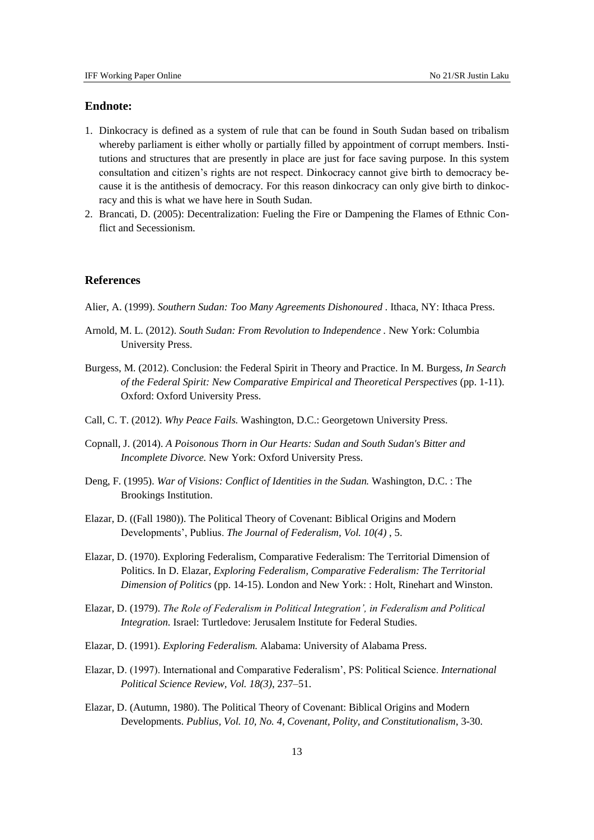### **Endnote:**

- 1. Dinkocracy is defined as a system of rule that can be found in South Sudan based on tribalism whereby parliament is either wholly or partially filled by appointment of corrupt members. Institutions and structures that are presently in place are just for face saving purpose. In this system consultation and citizen's rights are not respect. Dinkocracy cannot give birth to democracy because it is the antithesis of democracy. For this reason dinkocracy can only give birth to dinkocracy and this is what we have here in South Sudan.
- 2. Brancati, D. (2005): Decentralization: Fueling the Fire or Dampening the Flames of Ethnic Conflict and Secessionism.

### **References**

Alier, A. (1999). *Southern Sudan: Too Many Agreements Dishonoured .* Ithaca, NY: Ithaca Press.

- Arnold, M. L. (2012). *South Sudan: From Revolution to Independence .* New York: Columbia University Press.
- Burgess, M. (2012). Conclusion: the Federal Spirit in Theory and Practice. In M. Burgess, *In Search of the Federal Spirit: New Comparative Empirical and Theoretical Perspectives* (pp. 1-11). Oxford: Oxford University Press.
- Call, C. T. (2012). *Why Peace Fails.* Washington, D.C.: Georgetown University Press.
- Copnall, J. (2014). *A Poisonous Thorn in Our Hearts: Sudan and South Sudan's Bitter and Incomplete Divorce.* New York: Oxford University Press.
- Deng, F. (1995). *War of Visions: Conflict of Identities in the Sudan.* Washington, D.C. : The Brookings Institution.
- Elazar, D. ((Fall 1980)). The Political Theory of Covenant: Biblical Origins and Modern Developments', Publius. *The Journal of Federalism, Vol. 10(4)* , 5.
- Elazar, D. (1970). Exploring Federalism, Comparative Federalism: The Territorial Dimension of Politics. In D. Elazar, *Exploring Federalism, Comparative Federalism: The Territorial Dimension of Politics* (pp. 14-15). London and New York: : Holt, Rinehart and Winston.
- Elazar, D. (1979). *The Role of Federalism in Political Integration', in Federalism and Political Integration.* Israel: Turtledove: Jerusalem Institute for Federal Studies.
- Elazar, D. (1991). *Exploring Federalism.* Alabama: University of Alabama Press.
- Elazar, D. (1997). International and Comparative Federalism', PS: Political Science. *International Political Science Review, Vol. 18(3)*, 237–51.
- Elazar, D. (Autumn, 1980). The Political Theory of Covenant: Biblical Origins and Modern Developments. *Publius, Vol. 10, No. 4, Covenant, Polity, and Constitutionalism*, 3-30.